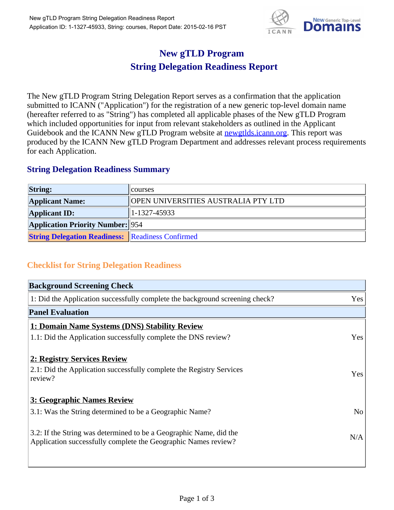

## **New gTLD Program String Delegation Readiness Report**

The New gTLD Program String Delegation Report serves as a confirmation that the application submitted to ICANN ("Application") for the registration of a new generic top-level domain name (hereafter referred to as "String") has completed all applicable phases of the New gTLD Program which included opportunities for input from relevant stakeholders as outlined in the Applicant Guidebook and the ICANN New gTLD Program website at **newgtlds.icann.org**. This report was produced by the ICANN New gTLD Program Department and addresses relevant process requirements for each Application.

## **String Delegation Readiness Summary**

| <b>String:</b>                                          | <b>Courses</b>                      |
|---------------------------------------------------------|-------------------------------------|
| <b>Applicant Name:</b>                                  | OPEN UNIVERSITIES AUSTRALIA PTY LTD |
| <b>Applicant ID:</b>                                    | $ 1-1327-45933 $                    |
| <b>Application Priority Number:</b> 954                 |                                     |
| <b>String Delegation Readiness:</b> Readiness Confirmed |                                     |

## **Checklist for String Delegation Readiness**

| <b>Background Screening Check</b>                                                                                                    |                |
|--------------------------------------------------------------------------------------------------------------------------------------|----------------|
| 1: Did the Application successfully complete the background screening check?                                                         | Yes            |
| <b>Panel Evaluation</b>                                                                                                              |                |
| <b>1: Domain Name Systems (DNS) Stability Review</b>                                                                                 |                |
| 1.1: Did the Application successfully complete the DNS review?                                                                       | Yes            |
| 2: Registry Services Review<br>2.1: Did the Application successfully complete the Registry Services<br>review?                       | Yes            |
| 3: Geographic Names Review                                                                                                           |                |
| 3.1: Was the String determined to be a Geographic Name?                                                                              | N <sub>o</sub> |
| 3.2: If the String was determined to be a Geographic Name, did the<br>Application successfully complete the Geographic Names review? | N/A            |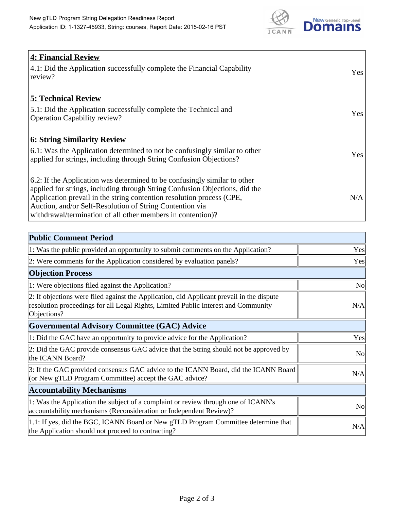

| 4: Financial Review<br>4.1: Did the Application successfully complete the Financial Capability<br>review?                                                                                                                                                                                                                                                    | <b>Yes</b> |
|--------------------------------------------------------------------------------------------------------------------------------------------------------------------------------------------------------------------------------------------------------------------------------------------------------------------------------------------------------------|------------|
| <b>5: Technical Review</b><br>5.1: Did the Application successfully complete the Technical and<br><b>Operation Capability review?</b>                                                                                                                                                                                                                        | Yes        |
| <b>6: String Similarity Review</b><br>$\vert$ 6.1: Was the Application determined to not be confusingly similar to other<br>applied for strings, including through String Confusion Objections?                                                                                                                                                              | Yes        |
| 6.2: If the Application was determined to be confusingly similar to other<br>applied for strings, including through String Confusion Objections, did the<br>Application prevail in the string contention resolution process (CPE,<br>Auction, and/or Self-Resolution of String Contention via<br>withdrawal/termination of all other members in contention)? | N/A        |

| <b>Public Comment Period</b>                                                                                                                                                                   |                |
|------------------------------------------------------------------------------------------------------------------------------------------------------------------------------------------------|----------------|
| 1: Was the public provided an opportunity to submit comments on the Application?                                                                                                               | Yes            |
| 2: Were comments for the Application considered by evaluation panels?                                                                                                                          | Yes            |
| <b>Objection Process</b>                                                                                                                                                                       |                |
| 1: Were objections filed against the Application?                                                                                                                                              | <b>No</b>      |
| 2: If objections were filed against the Application, did Applicant prevail in the dispute<br>resolution proceedings for all Legal Rights, Limited Public Interest and Community<br>Objections? | N/A            |
| <b>Governmental Advisory Committee (GAC) Advice</b>                                                                                                                                            |                |
| 1: Did the GAC have an opportunity to provide advice for the Application?                                                                                                                      | Yes            |
| 2: Did the GAC provide consensus GAC advice that the String should not be approved by<br>the ICANN Board?                                                                                      | N <sub>o</sub> |
| 3: If the GAC provided consensus GAC advice to the ICANN Board, did the ICANN Board<br>(or New gTLD Program Committee) accept the GAC advice?                                                  | N/A            |
| <b>Accountability Mechanisms</b>                                                                                                                                                               |                |
| 1: Was the Application the subject of a complaint or review through one of ICANN's<br>accountability mechanisms (Reconsideration or Independent Review)?                                       | <b>No</b>      |
| 1.1: If yes, did the BGC, ICANN Board or New gTLD Program Committee determine that<br>the Application should not proceed to contracting?                                                       | N/A            |